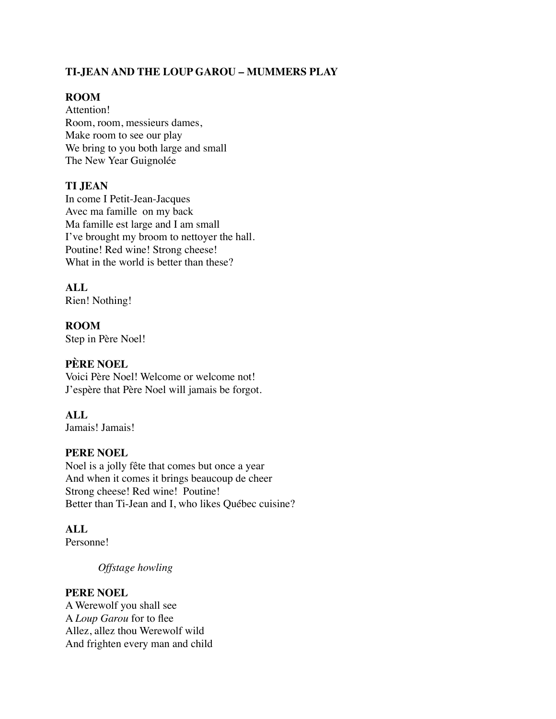## **TI-JEAN AND THE LOUP GAROU – MUMMERS PLAY**

## **ROOM**

Attention! Room, room, messieurs dames, Make room to see our play We bring to you both large and small The New Year Guignolée

### **TI JEAN**

In come I Petit-Jean-Jacques Avec ma famille on my back Ma famille est large and I am small I've brought my broom to nettoyer the hall. Poutine! Red wine! Strong cheese! What in the world is better than these?

## **ALL**

Rien! Nothing!

**ROOM** Step in Père Noel!

## **PÈRE NOEL**

Voici Père Noel! Welcome or welcome not! J'espère that Père Noel will jamais be forgot.

### **ALL**

Jamais! Jamais!

### **PERE NOEL**

Noel is a jolly fête that comes but once a year And when it comes it brings beaucoup de cheer Strong cheese! Red wine! Poutine! Better than Ti-Jean and I, who likes Québec cuisine?

### **ALL**

Personne!

*Offstage howling* 

#### **PERE NOEL**

A Werewolf you shall see A *Loup Garou* for to flee Allez, allez thou Werewolf wild And frighten every man and child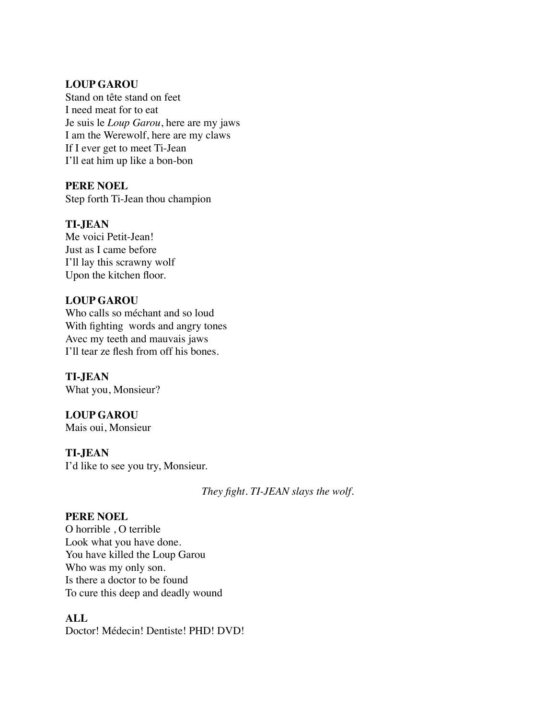#### **LOUP GAROU**

Stand on tête stand on feet I need meat for to eat Je suis le *Loup Garou*, here are my jaws I am the Werewolf, here are my claws If I ever get to meet Ti-Jean I'll eat him up like a bon-bon

#### **PERE NOEL**

Step forth Ti-Jean thou champion

### **TI-JEAN**

Me voici Petit-Jean! Just as I came before I'll lay this scrawny wolf Upon the kitchen floor.

### **LOUP GAROU**

Who calls so méchant and so loud With fighting words and angry tones Avec my teeth and mauvais jaws I'll tear ze flesh from off his bones.

#### **TI-JEAN** What you, Monsieur?

**LOUP GAROU**

Mais oui, Monsieur

### **TI-JEAN**

I'd like to see you try, Monsieur.

*They fight. TI-JEAN slays the wolf.*

### **PERE NOEL**

O horrible , O terrible Look what you have done. You have killed the Loup Garou Who was my only son. Is there a doctor to be found To cure this deep and deadly wound

#### **ALL**

Doctor! Médecin! Dentiste! PHD! DVD!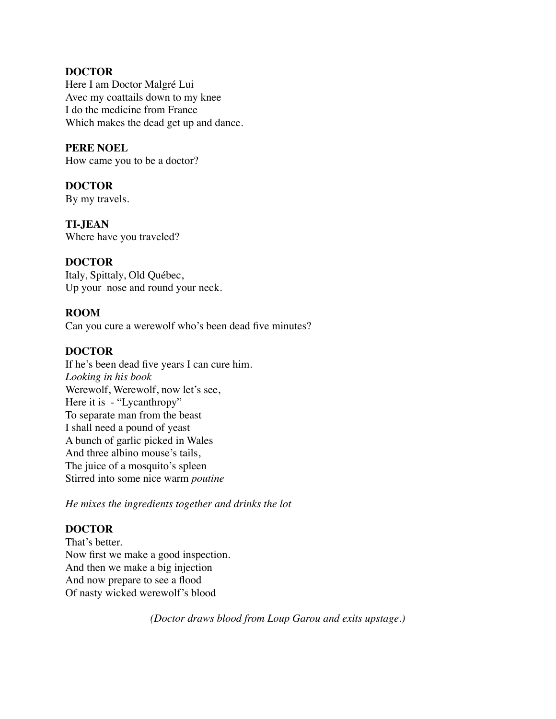#### **DOCTOR**

Here I am Doctor Malgré Lui Avec my coattails down to my knee I do the medicine from France Which makes the dead get up and dance.

#### **PERE NOEL**

How came you to be a doctor?

## **DOCTOR**

By my travels.

### **TI-JEAN**

Where have you traveled?

### **DOCTOR**

Italy, Spittaly, Old Québec, Up your nose and round your neck.

### **ROOM**

Can you cure a werewolf who's been dead five minutes?

#### **DOCTOR**

If he's been dead five years I can cure him. *Looking in his book* Werewolf, Werewolf, now let's see, Here it is - "Lycanthropy" To separate man from the beast I shall need a pound of yeast A bunch of garlic picked in Wales And three albino mouse's tails, The juice of a mosquito's spleen Stirred into some nice warm *poutine*

*He mixes the ingredients together and drinks the lot*

### **DOCTOR**

That's better. Now first we make a good inspection. And then we make a big injection And now prepare to see a flood Of nasty wicked werewolf's blood

*(Doctor draws blood from Loup Garou and exits upstage.)*